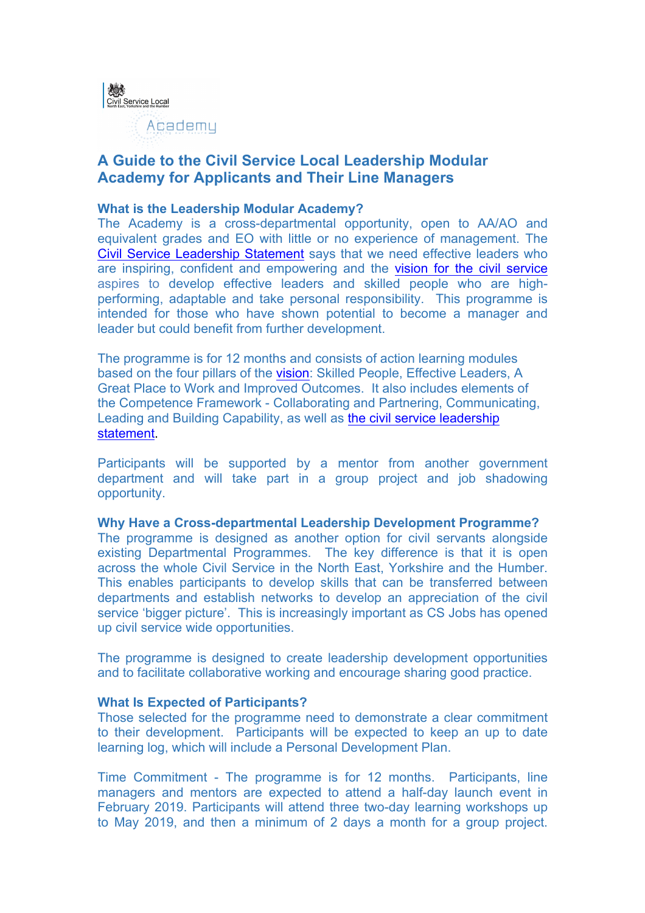

# **A Guide to the Civil Service Local Leadership Modular Academy for Applicants and Their Line Managers**

## **What is the Leadership Modular Academy?**

The Academy is a cross-departmental opportunity, open to AA/AO and equivalent grades and EO with little or no experience of management. The Civil Service Leadership Statement says that we need effective leaders who are inspiring, confident and empowering and the vision for the civil service aspires to develop effective leaders and skilled people who are highperforming, adaptable and take personal responsibility. This programme is intended for those who have shown potential to become a manager and leader but could benefit from further development.

The programme is for 12 months and consists of action learning modules based on the four pillars of the vision: Skilled People, Effective Leaders, A Great Place to Work and Improved Outcomes. It also includes elements of the Competence Framework - Collaborating and Partnering, Communicating, Leading and Building Capability, as well as the civil service leadership statement.

Participants will be supported by a mentor from another government department and will take part in a group project and job shadowing opportunity.

**Why Have a Cross-departmental Leadership Development Programme?**

The programme is designed as another option for civil servants alongside existing Departmental Programmes. The key difference is that it is open across the whole Civil Service in the North East, Yorkshire and the Humber. This enables participants to develop skills that can be transferred between departments and establish networks to develop an appreciation of the civil service 'bigger picture'. This is increasingly important as CS Jobs has opened up civil service wide opportunities.

The programme is designed to create leadership development opportunities and to facilitate collaborative working and encourage sharing good practice.

#### **What Is Expected of Participants?**

Those selected for the programme need to demonstrate a clear commitment to their development. Participants will be expected to keep an up to date learning log, which will include a Personal Development Plan.

Time Commitment - The programme is for 12 months. Participants, line managers and mentors are expected to attend a half-day launch event in February 2019. Participants will attend three two-day learning workshops up to May 2019, and then a minimum of 2 days a month for a group project.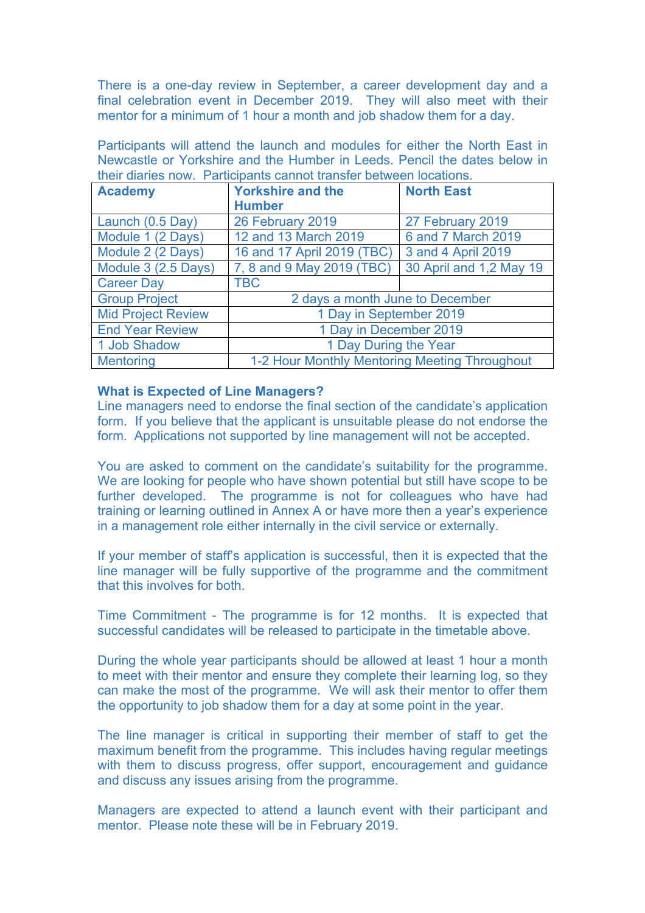There is a one-day review in September, a career development day and a final celebration event in December 2019. They will also meet with their mentor for a minimum of 1 hour a month and job shadow them for a day.

Participants will attend the launch and modules for either the North East in Newcastle or Yorkshire and the Humber in Leeds. Pencil the dates below in their diaries now. Participants cannot transfer between locations.

| <b>Academy</b>            | <b>Yorkshire and the</b><br><b>Humber</b>     | <b>North East</b>       |
|---------------------------|-----------------------------------------------|-------------------------|
| Launch (0.5 Day)          | 26 February 2019                              | 27 February 2019        |
| Module 1 (2 Days)         | 12 and 13 March 2019                          | 6 and 7 March 2019      |
| Module 2 (2 Days)         | 16 and 17 April 2019 (TBC)                    | 3 and 4 April 2019      |
| Module 3 (2.5 Days)       | 7, 8 and 9 May 2019 (TBC)                     | 30 April and 1,2 May 19 |
| <b>Career Day</b>         | <b>TBC</b>                                    |                         |
| <b>Group Project</b>      | 2 days a month June to December               |                         |
| <b>Mid Project Review</b> | 1 Day in September 2019                       |                         |
| <b>End Year Review</b>    | 1 Day in December 2019                        |                         |
| 1 Job Shadow              | 1 Day During the Year                         |                         |
| <b>Mentoring</b>          | 1-2 Hour Monthly Mentoring Meeting Throughout |                         |

## **What is Expected of Line Managers?**

Line managers need to endorse the final section of the candidate's application form. If you believe that the applicant is unsuitable please do not endorse the form. Applications not supported by line management will not be accepted.

You are asked to comment on the candidate's suitability for the programme. We are looking for people who have shown potential but still have scope to be further developed. The programme is not for colleagues who have had training or learning outlined in Annex A or have more then a year's experience in a management role either internally in the civil service or externally.

If your member of staff's application is successful, then it is expected that the line manager will be fully supportive of the programme and the commitment that this involves for both.

Time Commitment - The programme is for 12 months. It is expected that successful candidates will be released to participate in the timetable above.

During the whole year participants should be allowed at least 1 hour a month to meet with their mentor and ensure they complete their learning log, so they can make the most of the programme. We will ask their mentor to offer them the opportunity to job shadow them for a day at some point in the year.

The line manager is critical in supporting their member of staff to get the maximum benefit from the programme. This includes having regular meetings with them to discuss progress, offer support, encouragement and quidance and discuss any issues arising from the programme.

Managers are expected to attend a launch event with their participant and mentor. Please note these will be in February 2019.